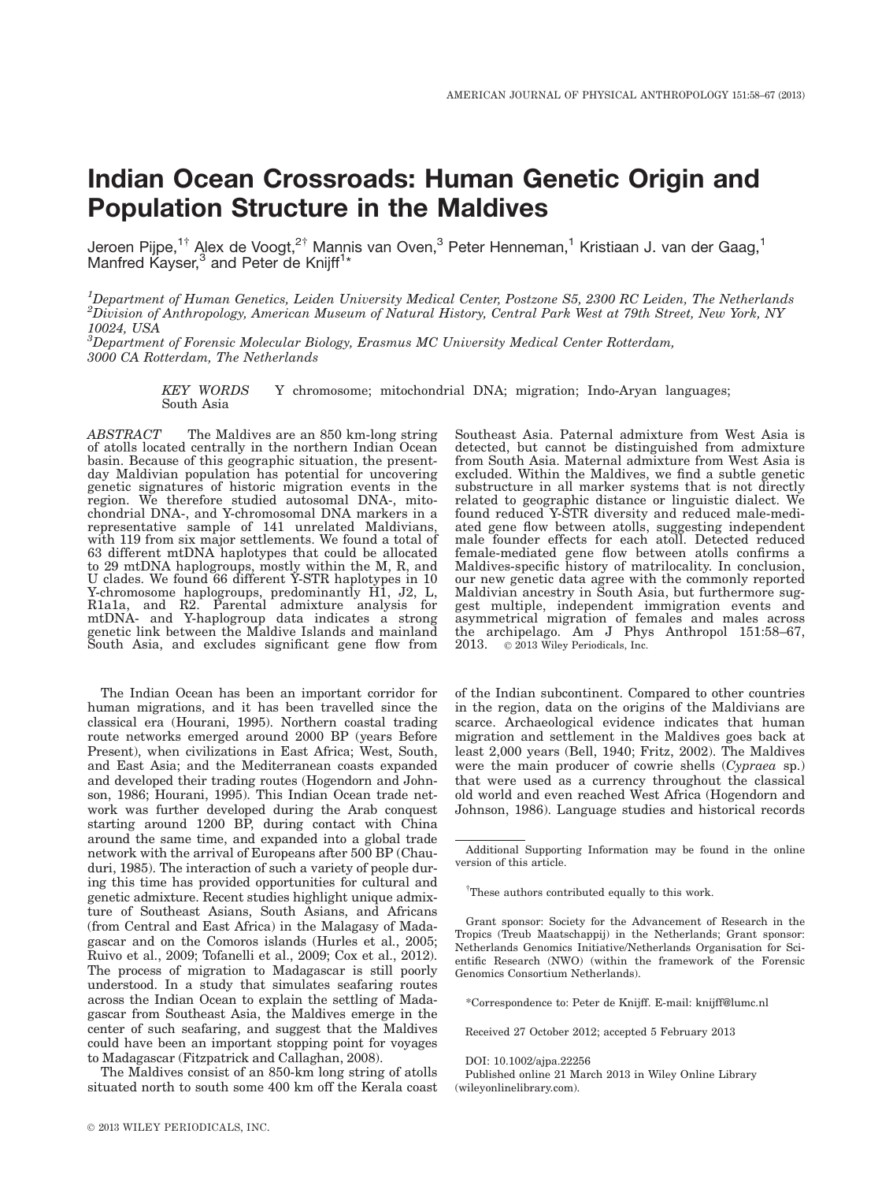# Indian Ocean Crossroads: Human Genetic Origin and Population Structure in the Maldives

Jeroen Pijpe,<sup>1†</sup> Alex de Voogt,<sup>2†</sup> Mannis van Oven,<sup>3</sup> Peter Henneman,<sup>1</sup> Kristiaan J. van der Gaag,<sup>1</sup> Manfred Kayser,<sup>3</sup> and Peter de Knijff<sup>1\*</sup>

<sup>1</sup>Department of Human Genetics, Leiden University Medical Center, Postzone S5, 2300 RC Leiden, The Netherlands  ${}^{2}$ Division of Anthropology, American Museum of Natural History, Central Park West at 79th Street, New York, NY 10024, USA

 $3$ Department of Forensic Molecular Biology, Erasmus MC University Medical Center Rotterdam, 3000 CA Rotterdam, The Netherlands

> KEY WORDS Y chromosome; mitochondrial DNA; migration; Indo-Aryan languages; South Asia

ABSTRACT The Maldives are an 850 km-long string of atolls located centrally in the northern Indian Ocean basin. Because of this geographic situation, the presentday Maldivian population has potential for uncovering genetic signatures of historic migration events in the region. We therefore studied autosomal DNA-, mitochondrial DNA-, and Y-chromosomal DNA markers in a representative sample of 141 unrelated Maldivians, with 119 from six major settlements. We found a total of 63 different mtDNA haplotypes that could be allocated to 29 mtDNA haplogroups, mostly within the M, R, and U clades. We found 66 different Y-STR haplotypes in 10 Y-chromosome haplogroups, predominantly H1, J2, L, R1a1a, and R2. Parental admixture analysis for mtDNA- and Y-haplogroup data indicates a strong genetic link between the Maldive Islands and mainland South Asia, and excludes significant gene flow from

The Indian Ocean has been an important corridor for human migrations, and it has been travelled since the classical era (Hourani, 1995). Northern coastal trading route networks emerged around 2000 BP (years Before Present), when civilizations in East Africa; West, South, and East Asia; and the Mediterranean coasts expanded and developed their trading routes (Hogendorn and Johnson, 1986; Hourani, 1995). This Indian Ocean trade network was further developed during the Arab conquest starting around 1200 BP, during contact with China around the same time, and expanded into a global trade network with the arrival of Europeans after 500 BP (Chauduri, 1985). The interaction of such a variety of people during this time has provided opportunities for cultural and genetic admixture. Recent studies highlight unique admixture of Southeast Asians, South Asians, and Africans (from Central and East Africa) in the Malagasy of Madagascar and on the Comoros islands (Hurles et al., 2005; Ruivo et al., 2009; Tofanelli et al., 2009; Cox et al., 2012). The process of migration to Madagascar is still poorly understood. In a study that simulates seafaring routes across the Indian Ocean to explain the settling of Madagascar from Southeast Asia, the Maldives emerge in the center of such seafaring, and suggest that the Maldives could have been an important stopping point for voyages to Madagascar (Fitzpatrick and Callaghan, 2008).

The Maldives consist of an 850-km long string of atolls situated north to south some 400 km off the Kerala coast Southeast Asia. Paternal admixture from West Asia is detected, but cannot be distinguished from admixture from South Asia. Maternal admixture from West Asia is excluded. Within the Maldives, we find a subtle genetic substructure in all marker systems that is not directly related to geographic distance or linguistic dialect. We found reduced Y-STR diversity and reduced male-mediated gene flow between atolls, suggesting independent male founder effects for each atoll. Detected reduced female-mediated gene flow between atolls confirms a Maldives-specific history of matrilocality. In conclusion, our new genetic data agree with the commonly reported Maldivian ancestry in South Asia, but furthermore suggest multiple, independent immigration events and asymmetrical migration of females and males across the archipelago. Am J Phys Anthropol 151:58–67, 2013.  $\circ$  2013 Wiley Periodicals, Inc.

of the Indian subcontinent. Compared to other countries in the region, data on the origins of the Maldivians are scarce. Archaeological evidence indicates that human migration and settlement in the Maldives goes back at least 2,000 years (Bell, 1940; Fritz, 2002). The Maldives were the main producer of cowrie shells (Cypraea sp.) that were used as a currency throughout the classical old world and even reached West Africa (Hogendorn and Johnson, 1986). Language studies and historical records

\*Correspondence to: Peter de Knijff. E-mail: knijff@lumc.nl

Received 27 October 2012; accepted 5 February 2013

DOI: 10.1002/ajpa.22256

Published online 21 March 2013 in Wiley Online Library (wileyonlinelibrary.com).

Additional Supporting Information may be found in the online version of this article.

<sup>†</sup>These authors contributed equally to this work.

Grant sponsor: Society for the Advancement of Research in the Tropics (Treub Maatschappij) in the Netherlands; Grant sponsor: Netherlands Genomics Initiative/Netherlands Organisation for Scientific Research (NWO) (within the framework of the Forensic Genomics Consortium Netherlands).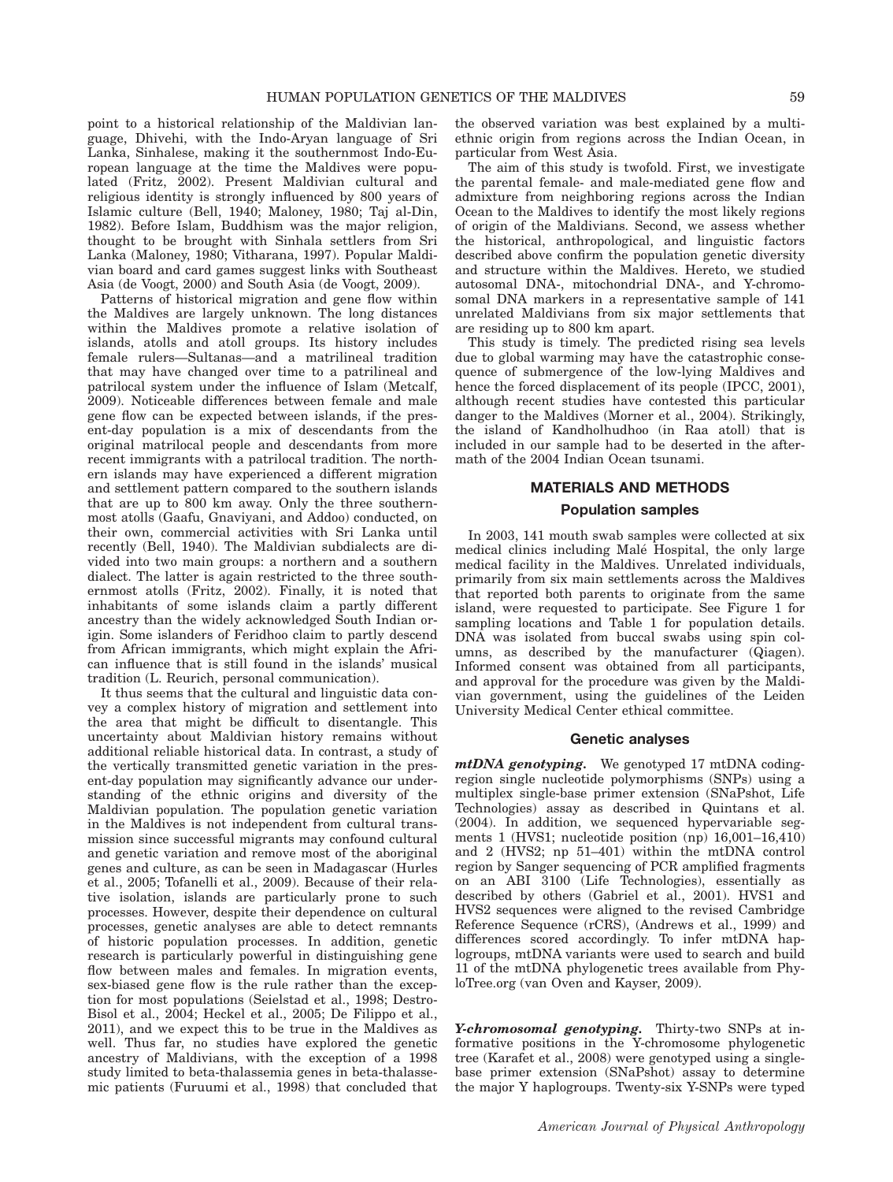point to a historical relationship of the Maldivian language, Dhivehi, with the Indo-Aryan language of Sri Lanka, Sinhalese, making it the southernmost Indo-European language at the time the Maldives were populated (Fritz, 2002). Present Maldivian cultural and religious identity is strongly influenced by 800 years of Islamic culture (Bell, 1940; Maloney, 1980; Taj al-Din, 1982). Before Islam, Buddhism was the major religion, thought to be brought with Sinhala settlers from Sri Lanka (Maloney, 1980; Vitharana, 1997). Popular Maldivian board and card games suggest links with Southeast Asia (de Voogt, 2000) and South Asia (de Voogt, 2009).

Patterns of historical migration and gene flow within the Maldives are largely unknown. The long distances within the Maldives promote a relative isolation of islands, atolls and atoll groups. Its history includes female rulers—Sultanas—and a matrilineal tradition that may have changed over time to a patrilineal and patrilocal system under the influence of Islam (Metcalf, 2009). Noticeable differences between female and male gene flow can be expected between islands, if the present-day population is a mix of descendants from the original matrilocal people and descendants from more recent immigrants with a patrilocal tradition. The northern islands may have experienced a different migration and settlement pattern compared to the southern islands that are up to 800 km away. Only the three southernmost atolls (Gaafu, Gnaviyani, and Addoo) conducted, on their own, commercial activities with Sri Lanka until recently (Bell, 1940). The Maldivian subdialects are divided into two main groups: a northern and a southern dialect. The latter is again restricted to the three southernmost atolls (Fritz, 2002). Finally, it is noted that inhabitants of some islands claim a partly different ancestry than the widely acknowledged South Indian origin. Some islanders of Feridhoo claim to partly descend from African immigrants, which might explain the African influence that is still found in the islands' musical tradition (L. Reurich, personal communication).

It thus seems that the cultural and linguistic data convey a complex history of migration and settlement into the area that might be difficult to disentangle. This uncertainty about Maldivian history remains without additional reliable historical data. In contrast, a study of the vertically transmitted genetic variation in the present-day population may significantly advance our understanding of the ethnic origins and diversity of the Maldivian population. The population genetic variation in the Maldives is not independent from cultural transmission since successful migrants may confound cultural and genetic variation and remove most of the aboriginal genes and culture, as can be seen in Madagascar (Hurles et al., 2005; Tofanelli et al., 2009). Because of their relative isolation, islands are particularly prone to such processes. However, despite their dependence on cultural processes, genetic analyses are able to detect remnants of historic population processes. In addition, genetic research is particularly powerful in distinguishing gene flow between males and females. In migration events, sex-biased gene flow is the rule rather than the exception for most populations (Seielstad et al., 1998; Destro-Bisol et al., 2004; Heckel et al., 2005; De Filippo et al., 2011), and we expect this to be true in the Maldives as well. Thus far, no studies have explored the genetic ancestry of Maldivians, with the exception of a 1998 study limited to beta-thalassemia genes in beta-thalassemic patients (Furuumi et al., 1998) that concluded that the observed variation was best explained by a multiethnic origin from regions across the Indian Ocean, in particular from West Asia.

The aim of this study is twofold. First, we investigate the parental female- and male-mediated gene flow and admixture from neighboring regions across the Indian Ocean to the Maldives to identify the most likely regions of origin of the Maldivians. Second, we assess whether the historical, anthropological, and linguistic factors described above confirm the population genetic diversity and structure within the Maldives. Hereto, we studied autosomal DNA-, mitochondrial DNA-, and Y-chromosomal DNA markers in a representative sample of 141 unrelated Maldivians from six major settlements that are residing up to 800 km apart.

This study is timely. The predicted rising sea levels due to global warming may have the catastrophic consequence of submergence of the low-lying Maldives and hence the forced displacement of its people (IPCC, 2001), although recent studies have contested this particular danger to the Maldives (Morner et al., 2004). Strikingly, the island of Kandholhudhoo (in Raa atoll) that is included in our sample had to be deserted in the aftermath of the 2004 Indian Ocean tsunami.

#### MATERIALS AND METHODS

#### Population samples

In 2003, 141 mouth swab samples were collected at six medical clinics including Malé Hospital, the only large medical facility in the Maldives. Unrelated individuals, primarily from six main settlements across the Maldives that reported both parents to originate from the same island, were requested to participate. See Figure 1 for sampling locations and Table 1 for population details. DNA was isolated from buccal swabs using spin columns, as described by the manufacturer (Qiagen). Informed consent was obtained from all participants, and approval for the procedure was given by the Maldivian government, using the guidelines of the Leiden University Medical Center ethical committee.

#### Genetic analyses

mtDNA genotyping. We genotyped 17 mtDNA codingregion single nucleotide polymorphisms (SNPs) using a multiplex single-base primer extension (SNaPshot, Life Technologies) assay as described in Quintans et al. (2004). In addition, we sequenced hypervariable segments 1 (HVS1; nucleotide position (np) 16,001–16,410) and 2 (HVS2; np 51–401) within the mtDNA control region by Sanger sequencing of PCR amplified fragments on an ABI 3100 (Life Technologies), essentially as described by others (Gabriel et al., 2001). HVS1 and HVS2 sequences were aligned to the revised Cambridge Reference Sequence (rCRS), (Andrews et al., 1999) and differences scored accordingly. To infer mtDNA haplogroups, mtDNA variants were used to search and build 11 of the mtDNA phylogenetic trees available from PhyloTree.org (van Oven and Kayser, 2009).

Y-chromosomal genotyping. Thirty-two SNPs at informative positions in the Y-chromosome phylogenetic tree (Karafet et al., 2008) were genotyped using a singlebase primer extension (SNaPshot) assay to determine the major Y haplogroups. Twenty-six Y-SNPs were typed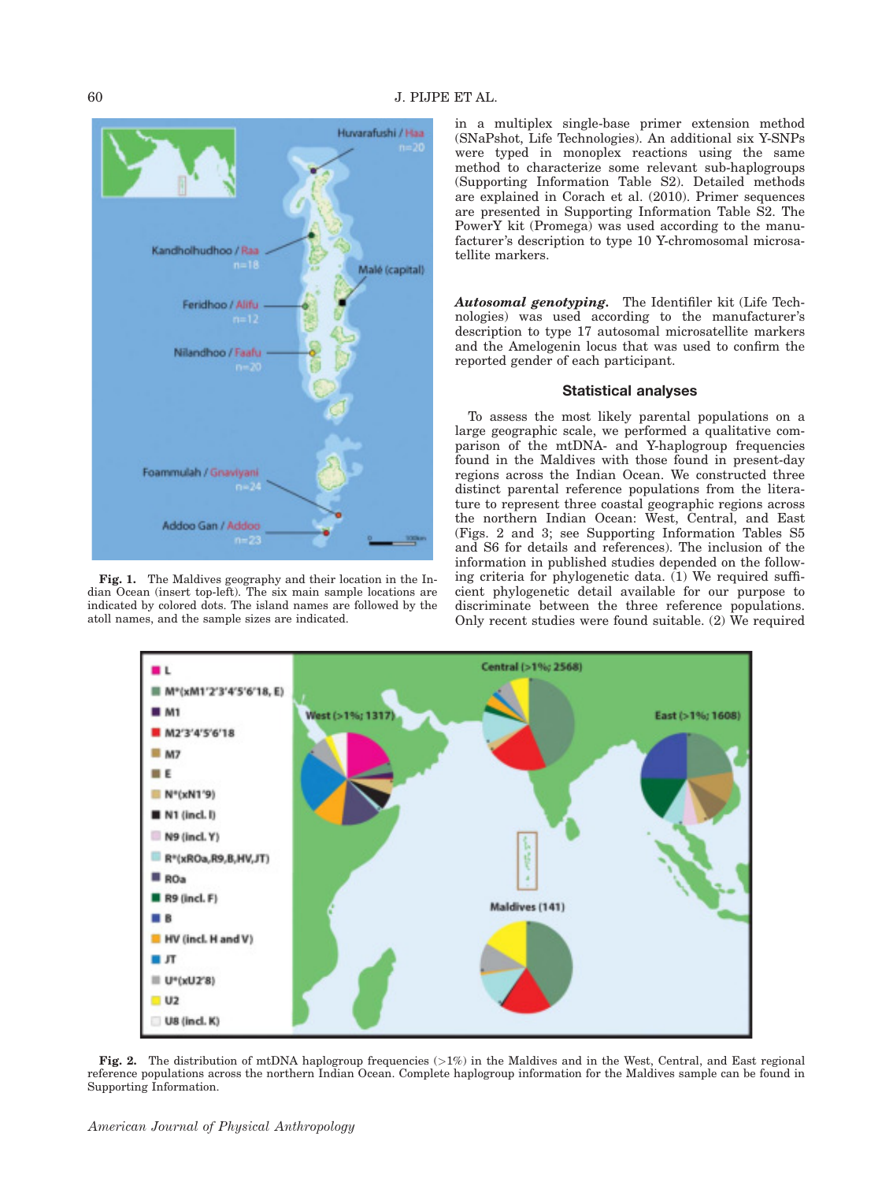

Fig. 1. The Maldives geography and their location in the Indian Ocean (insert top-left). The six main sample locations are indicated by colored dots. The island names are followed by the atoll names, and the sample sizes are indicated.

in a multiplex single-base primer extension method (SNaPshot, Life Technologies). An additional six Y-SNPs were typed in monoplex reactions using the same method to characterize some relevant sub-haplogroups (Supporting Information Table S2). Detailed methods are explained in Corach et al. (2010). Primer sequences are presented in Supporting Information Table S2. The PowerY kit (Promega) was used according to the manufacturer's description to type 10 Y-chromosomal microsatellite markers.

Autosomal genotyping. The Identifiler kit (Life Technologies) was used according to the manufacturer's description to type 17 autosomal microsatellite markers and the Amelogenin locus that was used to confirm the reported gender of each participant.

## Statistical analyses

To assess the most likely parental populations on a large geographic scale, we performed a qualitative comparison of the mtDNA- and Y-haplogroup frequencies found in the Maldives with those found in present-day regions across the Indian Ocean. We constructed three distinct parental reference populations from the literature to represent three coastal geographic regions across the northern Indian Ocean: West, Central, and East (Figs. 2 and 3; see Supporting Information Tables S5 and S6 for details and references). The inclusion of the information in published studies depended on the following criteria for phylogenetic data. (1) We required sufficient phylogenetic detail available for our purpose to discriminate between the three reference populations. Only recent studies were found suitable. (2) We required



Fig. 2. The distribution of mtDNA haplogroup frequencies  $(21\%)$  in the Maldives and in the West, Central, and East regional reference populations across the northern Indian Ocean. Complete haplogroup information for the Maldives sample can be found in Supporting Information.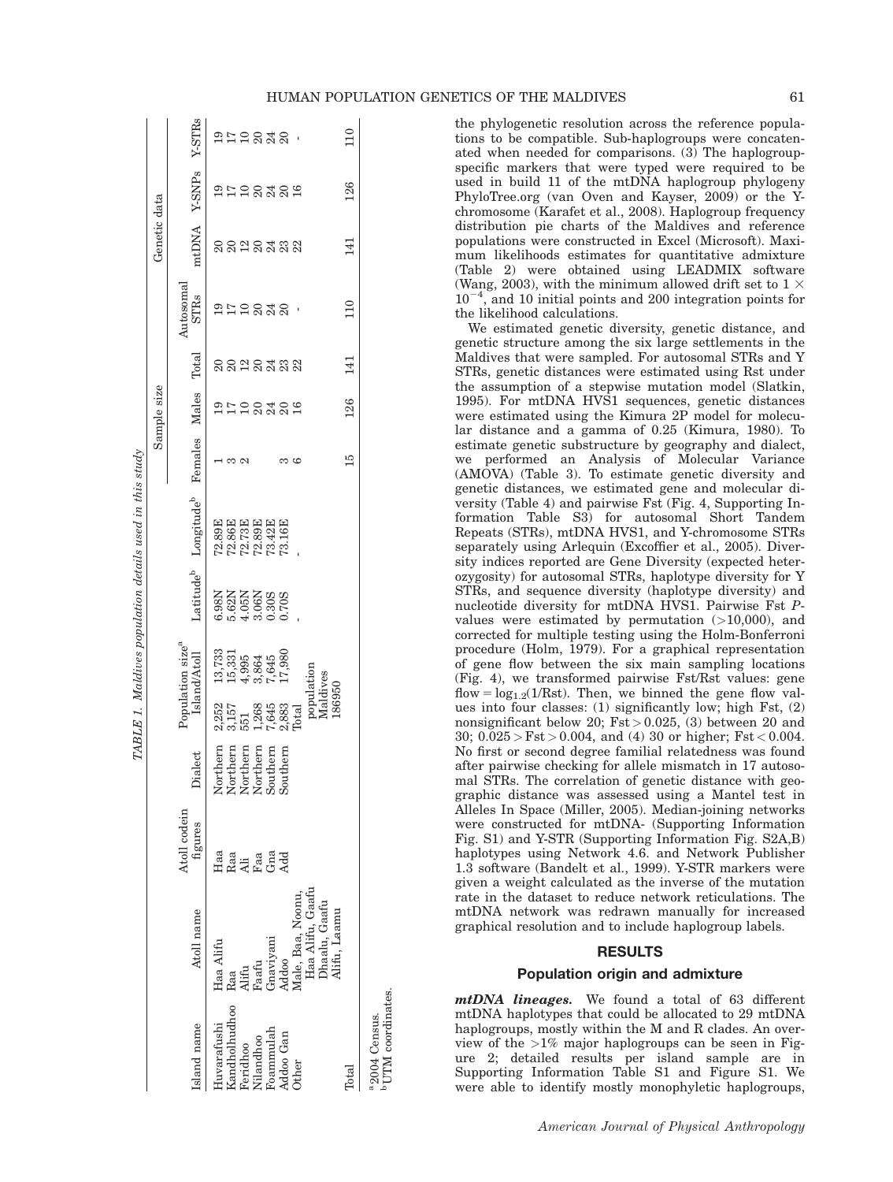|                        |                                                        |                              |                                                                                  |                                        |                                                                                  |                                                | TABLE 1. Maldives population details used in this study                                                               |               |             |          |                           |                     |                 |       |
|------------------------|--------------------------------------------------------|------------------------------|----------------------------------------------------------------------------------|----------------------------------------|----------------------------------------------------------------------------------|------------------------------------------------|-----------------------------------------------------------------------------------------------------------------------|---------------|-------------|----------|---------------------------|---------------------|-----------------|-------|
|                        |                                                        |                              |                                                                                  |                                        |                                                                                  |                                                |                                                                                                                       |               | Sample size |          |                           | Genetic data        |                 |       |
| sland name             | Atoll name                                             | Atoll codein<br>figures      | Dialect                                                                          |                                        | Population size <sup>a</sup><br>Island/Atoll                                     |                                                | Latitude <sup>b</sup> Longitude <sup>b</sup>                                                                          | Females Males |             | Total    | Autosomal<br><b>STIRs</b> | mtDNA Y-SNPs Y-STRs |                 |       |
| Huvarafushi            | Haa Alifu                                              | Haa                          | Northern<br>Northern<br>Northern<br>Northern<br>Southern<br>Southern<br>Southern | 2,252<br>3,157<br>551                  | $\begin{array}{c} 13,733 \\ 15,395 \\ 4,9,864 \\ 7,645 \\ 17,980 \\ \end{array}$ | 88N<br>88N<br>6.62N<br>6.630<br>6.700<br>6.700 | 72.89E                                                                                                                |               |             |          |                           |                     |                 | ഉ     |
| Kandholhudhoo          | Raa<br>Alifu                                           |                              |                                                                                  |                                        |                                                                                  |                                                |                                                                                                                       | က             |             | $\Omega$ | 17                        |                     |                 |       |
| Peridhoo               |                                                        |                              |                                                                                  |                                        |                                                                                  |                                                |                                                                                                                       | $\sim$        |             |          | $\overline{10}$           |                     | $\overline{10}$ |       |
| Vilandhoo              |                                                        |                              |                                                                                  |                                        |                                                                                  |                                                |                                                                                                                       |               |             |          | 20                        |                     |                 |       |
|                        | Faafu<br>Gnaviyani<br>Addoo                            | Raa<br>Ali aa<br>Gadd<br>Add |                                                                                  | $1,268$<br>$7,645$<br>$2,883$<br>Total |                                                                                  |                                                | $\begin{array}{l} 72.86 \text{E} \\ 72.73 \text{E} \\ 72.89 \text{E} \\ 73.42 \text{E} \\ 73.16 \text{E} \end{array}$ |               | 122382      | 22332    | $^{24}_{20}$              | <b>222332</b>       | 2325            | けいぬみぬ |
| Foammulah<br>Addoo Gan |                                                        |                              |                                                                                  |                                        |                                                                                  |                                                |                                                                                                                       |               |             |          |                           |                     |                 |       |
| Other                  |                                                        |                              |                                                                                  |                                        |                                                                                  |                                                |                                                                                                                       | ల             |             |          |                           |                     |                 |       |
|                        | Male, Baa, Noonu,<br>Haa Alifu, Gaafu<br>Dhaalu, Gaafu |                              |                                                                                  | population                             |                                                                                  |                                                |                                                                                                                       |               |             |          |                           |                     |                 |       |
|                        |                                                        |                              |                                                                                  | Maldives                               |                                                                                  |                                                |                                                                                                                       |               |             |          |                           |                     |                 |       |
|                        | lifu, Laamu                                            |                              |                                                                                  | 186950                                 |                                                                                  |                                                |                                                                                                                       |               |             |          |                           |                     |                 |       |
| $_{\rm{Total}}$        |                                                        |                              |                                                                                  |                                        |                                                                                  |                                                |                                                                                                                       | 15            | 126         | 141      | $\overline{110}$          | 141                 | 126             | 10    |
| a 2004 Census.         |                                                        |                              |                                                                                  |                                        |                                                                                  |                                                |                                                                                                                       |               |             |          |                           |                     |                 |       |

a La

UTM coordinates.

the phylogenetic resolution across the reference populations to be compatible. Sub-haplogroups were concatenated when needed for comparisons. (3) The haplogroupspecific markers that were typed were required to be used in build 11 of the mtDNA haplogroup phylogeny PhyloTree.org (van Oven and Kayser, 2009) or the Ychromosome (Karafet et al., 2008). Haplogroup frequency distribution pie charts of the Maldives and reference populations were constructed in Excel (Microsoft). Maximum likelihoods estimates for quantitative admixture (Table 2) were obtained using LEADMIX software (Wang, 2003), with the minimum allowed drift set to 1  $\times$  $10^{-4}$ , and 10 initial points and 200 integration points for the likelihood calculations.

We estimated genetic diversity, genetic distance, and genetic structure among the six large settlements in the Maldives that were sampled. For autosomal STRs and Y STRs, genetic distances were estimated using Rst under the assumption of a stepwise mutation model (Slatkin, 1995). For mtDNA HVS1 sequences, genetic distances were estimated using the Kimura 2P model for molecular distance and a gamma of 0.25 (Kimura, 1980). To estimate genetic substructure by geography and dialect, we performed an Analysis of Molecular Variance (AMOVA) (Table 3). To estimate genetic diversity and genetic distances, we estimated gene and molecular diversity (Table 4) and pairwise Fst (Fig. 4, Supporting Information Table S3) for autosomal Short Tandem Repeats (STRs), mtDNA HVS1, and Y-chromosome STRs separately using Arlequin (Excoffier et al., 2005). Diversity indices reported are Gene Diversity (expected heterozygosity) for autosomal STRs, haplotype diversity for Y STRs, and sequence diversity (haplotype diversity) and nucleotide diversity for mtDNA HVS1. Pairwise Fst Pvalues were estimated by permutation  $(>10,000)$ , and corrected for multiple testing using the Holm-Bonferroni procedure (Holm, 1979). For a graphical representation of gene flow between the six main sampling locations (Fig. 4), we transformed pairwise Fst/Rst values: gene flow =  $\log_{1.2}(1/Rst)$ . Then, we binned the gene flow values into four classes: (1) significantly low; high Fst, (2) nonsignificant below 20;  $Fst > 0.025$ , (3) between 20 and  $30$ ;  $0.025 > \text{Fst} > 0.004$ , and (4) 30 or higher; Fst < 0.004. No first or second degree familial relatedness was found after pairwise checking for allele mismatch in 17 autosomal STRs. The correlation of genetic distance with geographic distance was assessed using a Mantel test in Alleles In Space (Miller, 2005). Median-joining networks were constructed for mtDNA- (Supporting Information Fig. S1) and Y-STR (Supporting Information Fig. S2A,B) haplotypes using Network 4.6. and Network Publisher 1.3 software (Bandelt et al., 1999). Y-STR markers were given a weight calculated as the inverse of the mutation rate in the dataset to reduce network reticulations. The mtDNA network was redrawn manually for increased graphical resolution and to include haplogroup labels.

# RESULTS

## Population origin and admixture

mtDNA lineages. We found a total of 63 different mtDNA haplotypes that could be allocated to 29 mtDNA haplogroups, mostly within the M and R clades. An overview of the  $>1\%$  major haplogroups can be seen in Figure 2; detailed results per island sample are in Supporting Information Table S1 and Figure S1. We were able to identify mostly monophyletic haplogroups,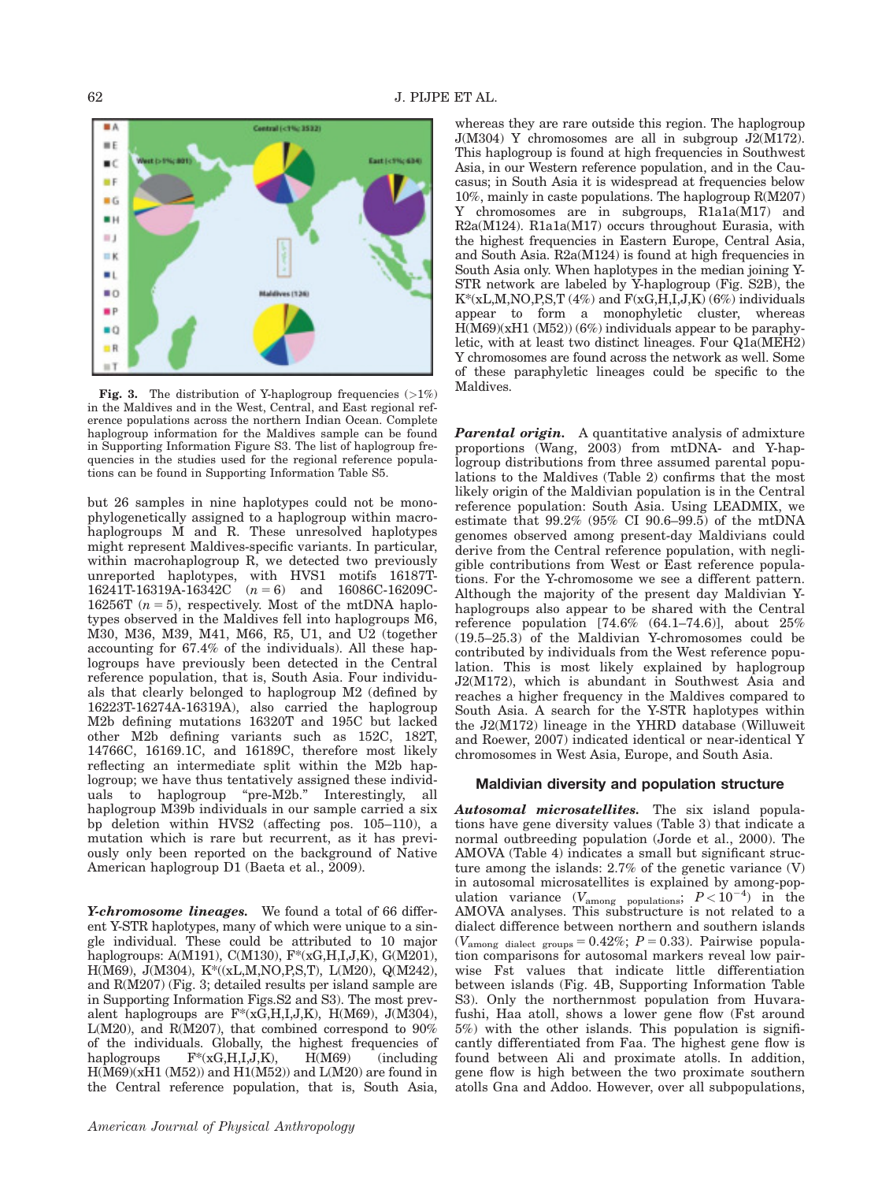

**Fig. 3.** The distribution of Y-haplogroup frequencies  $(>1\%)$ in the Maldives and in the West, Central, and East regional reference populations across the northern Indian Ocean. Complete haplogroup information for the Maldives sample can be found in Supporting Information Figure S3. The list of haplogroup frequencies in the studies used for the regional reference populations can be found in Supporting Information Table S5.

but 26 samples in nine haplotypes could not be monophylogenetically assigned to a haplogroup within macrohaplogroups M and R. These unresolved haplotypes might represent Maldives-specific variants. In particular, within macrohaplogroup R, we detected two previously unreported haplotypes, with HVS1 motifs 16187T-16241T-16319A-16342C  $(n = 6)$  and 16086C-16209C-16256T  $(n = 5)$ , respectively. Most of the mtDNA haplotypes observed in the Maldives fell into haplogroups M6, M30, M36, M39, M41, M66, R5, U1, and U2 (together accounting for 67.4% of the individuals). All these haplogroups have previously been detected in the Central reference population, that is, South Asia. Four individuals that clearly belonged to haplogroup M2 (defined by 16223T-16274A-16319A), also carried the haplogroup M2b defining mutations 16320T and 195C but lacked other M2b defining variants such as 152C, 182T, 14766C, 16169.1C, and 16189C, therefore most likely reflecting an intermediate split within the M2b haplogroup; we have thus tentatively assigned these individuals to haplogroup "pre-M2b." Interestingly, all haplogroup M39b individuals in our sample carried a six bp deletion within HVS2 (affecting pos. 105–110), a mutation which is rare but recurrent, as it has previously only been reported on the background of Native American haplogroup D1 (Baeta et al., 2009).

Y-chromosome lineages. We found a total of 66 different Y-STR haplotypes, many of which were unique to a single individual. These could be attributed to 10 major haplogroups: A(M191), C(M130), F\*(xG,H,I,J,K), G(M201), H(M69), J(M304), K\*((xL,M,NO,P,S,T), L(M20), Q(M242), and R(M207) (Fig. 3; detailed results per island sample are in Supporting Information Figs.S2 and S3). The most prevalent haplogroups are F\*(xG,H,I,J,K), H(M69), J(M304), L(M20), and R(M207), that combined correspond to 90% of the individuals. Globally, the highest frequencies of haplogroups  $F^*(xG,H,I,J,K)$ ,  $H(M69)$  (including  $H(M69)(xH1 (M52))$  and  $H1(M52))$  and  $L(M20)$  are found in the Central reference population, that is, South Asia,

whereas they are rare outside this region. The haplogroup J(M304) Y chromosomes are all in subgroup J2(M172). This haplogroup is found at high frequencies in Southwest Asia, in our Western reference population, and in the Caucasus; in South Asia it is widespread at frequencies below 10%, mainly in caste populations. The haplogroup R(M207) Y chromosomes are in subgroups, R1a1a(M17) and R2a(M124). R1a1a(M17) occurs throughout Eurasia, with the highest frequencies in Eastern Europe, Central Asia, and South Asia. R2a(M124) is found at high frequencies in South Asia only. When haplotypes in the median joining Y-STR network are labeled by Y-haplogroup (Fig. S2B), the  $K^*(xL,M,NO,P,S,T (4\%)$  and  $F(xG,H,I,J,K)$  (6%) individuals appear to form a monophyletic cluster, whereas  $H(M69)(xH1 (M52)) (6%)$  individuals appear to be paraphyletic, with at least two distinct lineages. Four Q1a(MEH2) Y chromosomes are found across the network as well. Some of these paraphyletic lineages could be specific to the Maldives.

Parental origin. A quantitative analysis of admixture proportions (Wang, 2003) from mtDNA- and Y-haplogroup distributions from three assumed parental populations to the Maldives (Table 2) confirms that the most likely origin of the Maldivian population is in the Central reference population: South Asia. Using LEADMIX, we estimate that 99.2% (95% CI 90.6–99.5) of the mtDNA genomes observed among present-day Maldivians could derive from the Central reference population, with negligible contributions from West or East reference populations. For the Y-chromosome we see a different pattern. Although the majority of the present day Maldivian Yhaplogroups also appear to be shared with the Central reference population [74.6% (64.1–74.6)], about 25% (19.5–25.3) of the Maldivian Y-chromosomes could be contributed by individuals from the West reference population. This is most likely explained by haplogroup J2(M172), which is abundant in Southwest Asia and reaches a higher frequency in the Maldives compared to South Asia. A search for the Y-STR haplotypes within the J2(M172) lineage in the YHRD database (Willuweit and Roewer, 2007) indicated identical or near-identical Y chromosomes in West Asia, Europe, and South Asia.

## Maldivian diversity and population structure

Autosomal microsatellites. The six island populations have gene diversity values (Table 3) that indicate a normal outbreeding population (Jorde et al., 2000). The AMOVA (Table 4) indicates a small but significant structure among the islands: 2.7% of the genetic variance (V) in autosomal microsatellites is explained by among-population variance  $(V_{\text{among}})_{\text{populations}}$ ;  $P < 10^{-4}$  in the AMOVA analyses. This substructure is not related to a dialect difference between northern and southern islands  $(V_{\text{among dialect groups}} = 0.42\%; P = 0.33)$ . Pairwise population comparisons for autosomal markers reveal low pairwise Fst values that indicate little differentiation between islands (Fig. 4B, Supporting Information Table S3). Only the northernmost population from Huvarafushi, Haa atoll, shows a lower gene flow (Fst around 5%) with the other islands. This population is significantly differentiated from Faa. The highest gene flow is found between Ali and proximate atolls. In addition, gene flow is high between the two proximate southern atolls Gna and Addoo. However, over all subpopulations,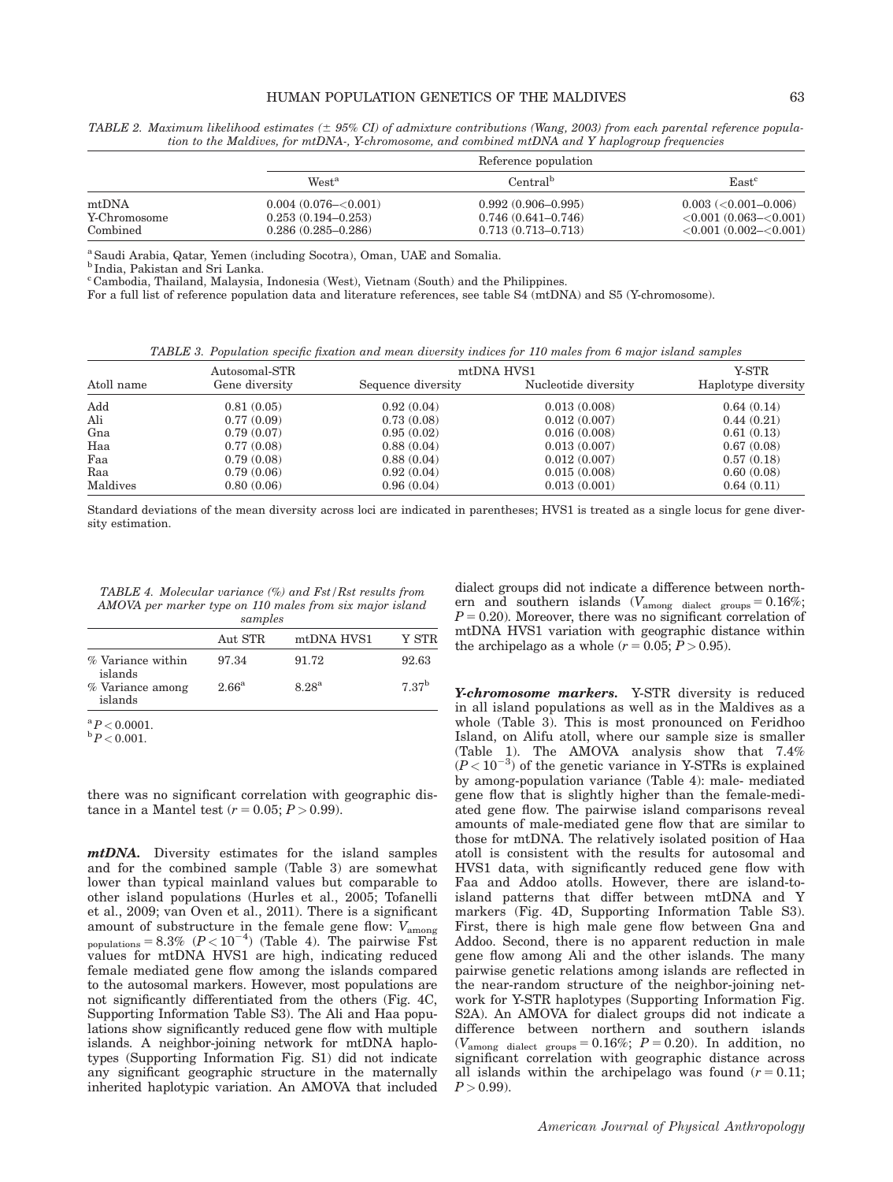#### HUMAN POPULATION GENETICS OF THE MALDIVES 63

|              |                        | Reference population   |                                                  |
|--------------|------------------------|------------------------|--------------------------------------------------|
|              | West <sup>a</sup>      | Central <sup>b</sup>   | East <sup>c</sup>                                |
| mtDNA        | $0.004(0.076 - 0.001)$ | $0.992(0.906 - 0.995)$ | $0.003 \, (< 0.001 - 0.006)$                     |
| Y-Chromosome | $0.253(0.194 - 0.253)$ | $0.746(0.641 - 0.746)$ | $\leq 0.001$ (0.063 $\leq 0.001$ )               |
| Combined     | $0.286(0.285 - 0.286)$ | $0.713(0.713 - 0.713)$ | $\langle 0.001 (0.002 - \langle 0.001 \rangle )$ |

TABLE 2. Maximum likelihood estimates  $(± 95\% CI)$  of admixture contributions (Wang, 2003) from each parental reference population to the Maldives, for mtDNA-, Y-chromosome, and combined mtDNA and Y haplogroup frequencies

<sup>a</sup> Saudi Arabia, Qatar, Yemen (including Socotra), Oman, UAE and Somalia.

b India, Pakistan and Sri Lanka.

<sup>c</sup> Cambodia, Thailand, Malaysia, Indonesia (West), Vietnam (South) and the Philippines.

For a full list of reference population data and literature references, see table S4 (mtDNA) and S5 (Y-chromosome).

TABLE 3. Population specific fixation and mean diversity indices for 110 males from 6 major island samples

|            | Autosomal-STR  | mtDNA HVS1         | Y-STR                |                     |
|------------|----------------|--------------------|----------------------|---------------------|
| Atoll name | Gene diversity | Sequence diversity | Nucleotide diversity | Haplotype diversity |
| Add        | 0.81(0.05)     | 0.92(0.04)         | 0.013(0.008)         | 0.64(0.14)          |
| Ali        | 0.77(0.09)     | 0.73(0.08)         | 0.012(0.007)         | 0.44(0.21)          |
| Gna        | 0.79(0.07)     | 0.95(0.02)         | 0.016(0.008)         | 0.61(0.13)          |
| Haa        | 0.77(0.08)     | 0.88(0.04)         | 0.013(0.007)         | 0.67(0.08)          |
| Faa        | 0.79(0.08)     | 0.88(0.04)         | 0.012(0.007)         | 0.57(0.18)          |
| Raa        | 0.79(0.06)     | 0.92(0.04)         | 0.015(0.008)         | 0.60(0.08)          |
| Maldives   | 0.80(0.06)     | 0.96(0.04)         | 0.013(0.001)         | 0.64(0.11)          |

Standard deviations of the mean diversity across loci are indicated in parentheses; HVS1 is treated as a single locus for gene diversity estimation.

TABLE 4. Molecular variance (%) and Fst/Rst results from AMOVA per marker type on 110 males from six major island samples

|                              | 0.0000            |            |                   |
|------------------------------|-------------------|------------|-------------------|
|                              | Aut STR           | mtDNA HVS1 | Y STR             |
| % Variance within<br>islands | 97.34             | 91.72      | 92.63             |
| % Variance among<br>islands  | 2.66 <sup>a</sup> | $8.28^{a}$ | 7.37 <sup>b</sup> |
|                              |                   |            |                   |

 $a^a P < 0.0001$ .

 $bP < 0.001$ .

there was no significant correlation with geographic distance in a Mantel test  $(r = 0.05; P > 0.99)$ .

mtDNA. Diversity estimates for the island samples and for the combined sample (Table 3) are somewhat lower than typical mainland values but comparable to other island populations (Hurles et al., 2005; Tofanelli et al., 2009; van Oven et al., 2011). There is a significant amount of substructure in the female gene flow:  $V_{\text{among}}$  $_{\rm populations}$  = 8.3% ( $P < 10^{-4}$ ) (Table 4). The pairwise Fst values for mtDNA HVS1 are high, indicating reduced female mediated gene flow among the islands compared to the autosomal markers. However, most populations are not significantly differentiated from the others (Fig. 4C, Supporting Information Table S3). The Ali and Haa populations show significantly reduced gene flow with multiple islands. A neighbor-joining network for mtDNA haplotypes (Supporting Information Fig. S1) did not indicate any significant geographic structure in the maternally inherited haplotypic variation. An AMOVA that included

dialect groups did not indicate a difference between northern and southern islands ( $V_{\text{among dialect groups}} = 0.16\%;$  $P = 0.20$ ). Moreover, there was no significant correlation of mtDNA HVS1 variation with geographic distance within the archipelago as a whole  $(r = 0.05; P > 0.95)$ .

Y-chromosome markers. Y-STR diversity is reduced in all island populations as well as in the Maldives as a whole (Table 3). This is most pronounced on Feridhoo Island, on Alifu atoll, where our sample size is smaller (Table 1). The AMOVA analysis show that 7.4%  $(P<10^{-3})$  of the genetic variance in Y-STRs is explained by among-population variance (Table 4): male- mediated gene flow that is slightly higher than the female-mediated gene flow. The pairwise island comparisons reveal amounts of male-mediated gene flow that are similar to those for mtDNA. The relatively isolated position of Haa atoll is consistent with the results for autosomal and HVS1 data, with significantly reduced gene flow with Faa and Addoo atolls. However, there are island-toisland patterns that differ between mtDNA and Y markers (Fig. 4D, Supporting Information Table S3). First, there is high male gene flow between Gna and Addoo. Second, there is no apparent reduction in male gene flow among Ali and the other islands. The many pairwise genetic relations among islands are reflected in the near-random structure of the neighbor-joining network for Y-STR haplotypes (Supporting Information Fig. S2A). An AMOVA for dialect groups did not indicate a difference between northern and southern islands  $(V_{\text{among dialect groups}} = 0.16\%; P = 0.20)$ . In addition, no significant correlation with geographic distance across all islands within the archipelago was found  $(r = 0.11;$  $P > 0.99$ ).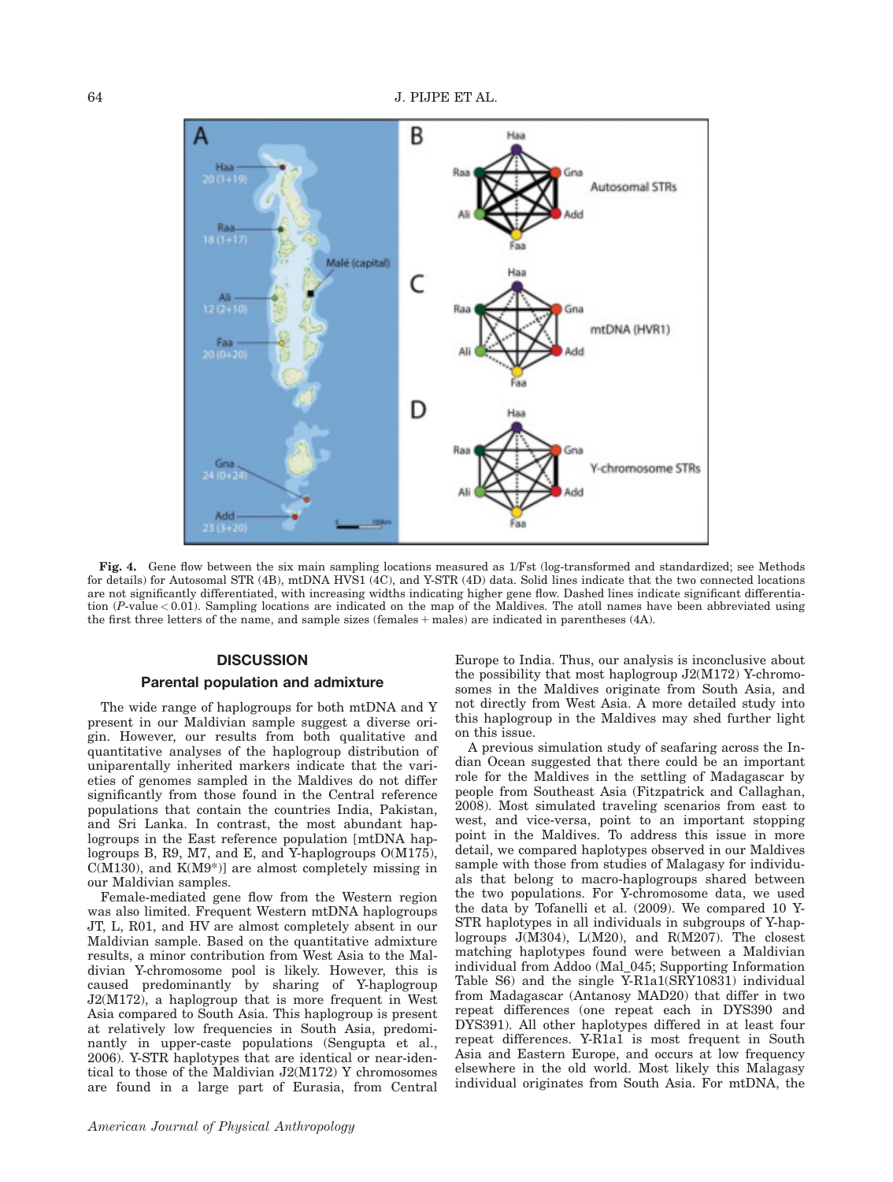

Fig. 4. Gene flow between the six main sampling locations measured as 1/Fst (log-transformed and standardized; see Methods for details) for Autosomal STR (4B), mtDNA HVS1 (4C), and Y-STR (4D) data. Solid lines indicate that the two connected locations are not significantly differentiated, with increasing widths indicating higher gene flow. Dashed lines indicate significant differentiation (P-value < 0.01). Sampling locations are indicated on the map of the Maldives. The atoll names have been abbreviated using the first three letters of the name, and sample sizes (females + males) are indicated in parentheses (4A).

# **DISCUSSION**

### Parental population and admixture

The wide range of haplogroups for both mtDNA and Y present in our Maldivian sample suggest a diverse origin. However, our results from both qualitative and quantitative analyses of the haplogroup distribution of uniparentally inherited markers indicate that the varieties of genomes sampled in the Maldives do not differ significantly from those found in the Central reference populations that contain the countries India, Pakistan, and Sri Lanka. In contrast, the most abundant haplogroups in the East reference population [mtDNA haplogroups B, R9, M7, and E, and Y-haplogroups O(M175),  $C(M130)$ , and  $K(M9*)$ ] are almost completely missing in our Maldivian samples.

Female-mediated gene flow from the Western region was also limited. Frequent Western mtDNA haplogroups JT, L, R01, and HV are almost completely absent in our Maldivian sample. Based on the quantitative admixture results, a minor contribution from West Asia to the Maldivian Y-chromosome pool is likely. However, this is caused predominantly by sharing of Y-haplogroup J2(M172), a haplogroup that is more frequent in West Asia compared to South Asia. This haplogroup is present at relatively low frequencies in South Asia, predominantly in upper-caste populations (Sengupta et al., 2006). Y-STR haplotypes that are identical or near-identical to those of the Maldivian J2(M172) Y chromosomes are found in a large part of Eurasia, from Central

American Journal of Physical Anthropology

Europe to India. Thus, our analysis is inconclusive about the possibility that most haplogroup J2(M172) Y-chromosomes in the Maldives originate from South Asia, and not directly from West Asia. A more detailed study into this haplogroup in the Maldives may shed further light on this issue.

A previous simulation study of seafaring across the Indian Ocean suggested that there could be an important role for the Maldives in the settling of Madagascar by people from Southeast Asia (Fitzpatrick and Callaghan, 2008). Most simulated traveling scenarios from east to west, and vice-versa, point to an important stopping point in the Maldives. To address this issue in more detail, we compared haplotypes observed in our Maldives sample with those from studies of Malagasy for individuals that belong to macro-haplogroups shared between the two populations. For Y-chromosome data, we used the data by Tofanelli et al. (2009). We compared 10 Y-STR haplotypes in all individuals in subgroups of Y-haplogroups J(M304), L(M20), and R(M207). The closest matching haplotypes found were between a Maldivian individual from Addoo (Mal\_045; Supporting Information Table S6) and the single Y-R1a1(SRY10831) individual from Madagascar (Antanosy MAD20) that differ in two repeat differences (one repeat each in DYS390 and DYS391). All other haplotypes differed in at least four repeat differences. Y-R1a1 is most frequent in South Asia and Eastern Europe, and occurs at low frequency elsewhere in the old world. Most likely this Malagasy individual originates from South Asia. For mtDNA, the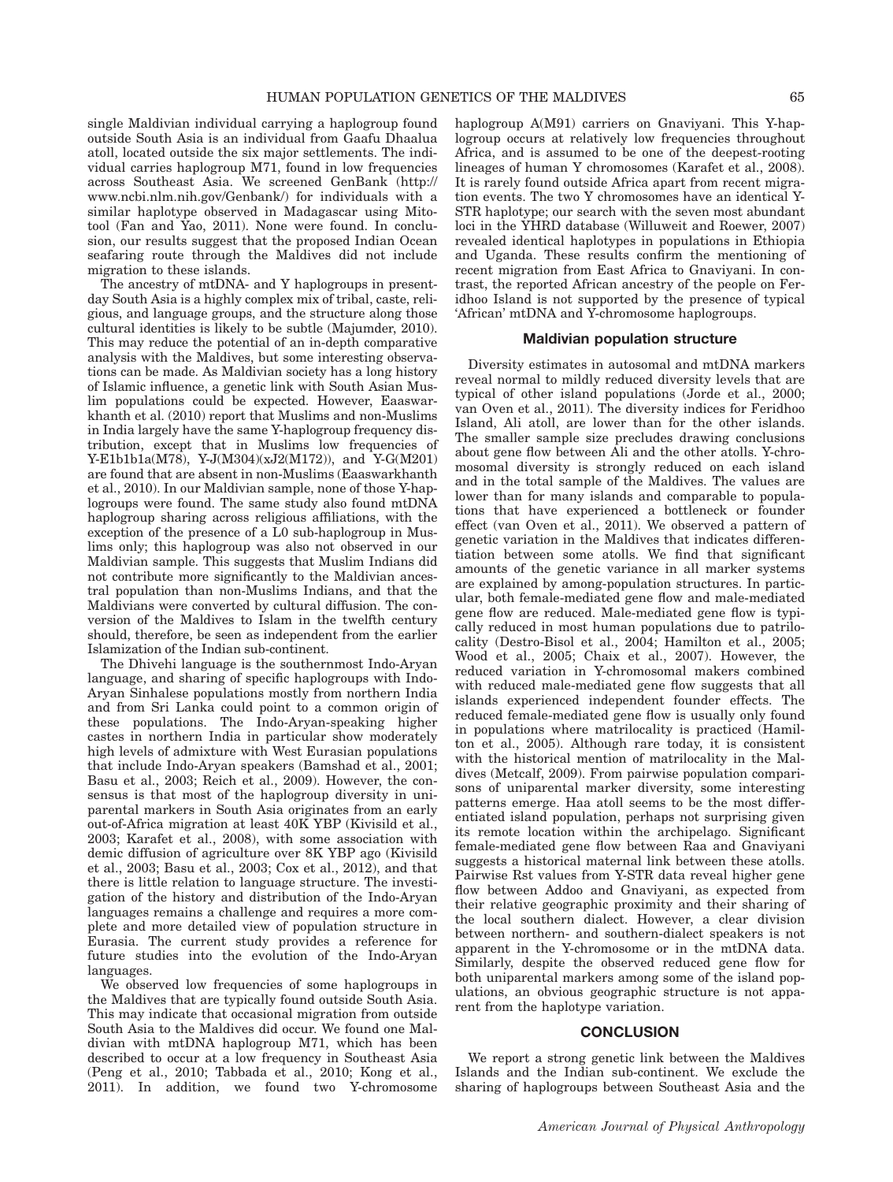single Maldivian individual carrying a haplogroup found outside South Asia is an individual from Gaafu Dhaalua atoll, located outside the six major settlements. The individual carries haplogroup M71, found in low frequencies across Southeast Asia. We screened GenBank (http:// www.ncbi.nlm.nih.gov/Genbank/) for individuals with a similar haplotype observed in Madagascar using Mitotool (Fan and Yao, 2011). None were found. In conclusion, our results suggest that the proposed Indian Ocean seafaring route through the Maldives did not include migration to these islands.

The ancestry of mtDNA- and Y haplogroups in presentday South Asia is a highly complex mix of tribal, caste, religious, and language groups, and the structure along those cultural identities is likely to be subtle (Majumder, 2010). This may reduce the potential of an in-depth comparative analysis with the Maldives, but some interesting observations can be made. As Maldivian society has a long history of Islamic influence, a genetic link with South Asian Muslim populations could be expected. However, Eaaswarkhanth et al. (2010) report that Muslims and non-Muslims in India largely have the same Y-haplogroup frequency distribution, except that in Muslims low frequencies of Y-E1b1b1a(M78), Y-J(M304)(xJ2(M172)), and Y-G(M201) are found that are absent in non-Muslims (Eaaswarkhanth et al., 2010). In our Maldivian sample, none of those Y-haplogroups were found. The same study also found mtDNA haplogroup sharing across religious affiliations, with the exception of the presence of a L0 sub-haplogroup in Muslims only; this haplogroup was also not observed in our Maldivian sample. This suggests that Muslim Indians did not contribute more significantly to the Maldivian ancestral population than non-Muslims Indians, and that the Maldivians were converted by cultural diffusion. The conversion of the Maldives to Islam in the twelfth century should, therefore, be seen as independent from the earlier Islamization of the Indian sub-continent.

The Dhivehi language is the southernmost Indo-Aryan language, and sharing of specific haplogroups with Indo-Aryan Sinhalese populations mostly from northern India and from Sri Lanka could point to a common origin of these populations. The Indo-Aryan-speaking higher castes in northern India in particular show moderately high levels of admixture with West Eurasian populations that include Indo-Aryan speakers (Bamshad et al., 2001; Basu et al., 2003; Reich et al., 2009). However, the consensus is that most of the haplogroup diversity in uniparental markers in South Asia originates from an early out-of-Africa migration at least 40K YBP (Kivisild et al., 2003; Karafet et al., 2008), with some association with demic diffusion of agriculture over 8K YBP ago (Kivisild et al., 2003; Basu et al., 2003; Cox et al., 2012), and that there is little relation to language structure. The investigation of the history and distribution of the Indo-Aryan languages remains a challenge and requires a more complete and more detailed view of population structure in Eurasia. The current study provides a reference for future studies into the evolution of the Indo-Aryan languages.

We observed low frequencies of some haplogroups in the Maldives that are typically found outside South Asia. This may indicate that occasional migration from outside South Asia to the Maldives did occur. We found one Maldivian with mtDNA haplogroup M71, which has been described to occur at a low frequency in Southeast Asia (Peng et al., 2010; Tabbada et al., 2010; Kong et al., 2011). In addition, we found two Y-chromosome haplogroup A(M91) carriers on Gnaviyani. This Y-haplogroup occurs at relatively low frequencies throughout Africa, and is assumed to be one of the deepest-rooting lineages of human Y chromosomes (Karafet et al., 2008). It is rarely found outside Africa apart from recent migration events. The two Y chromosomes have an identical Y-STR haplotype; our search with the seven most abundant loci in the YHRD database (Willuweit and Roewer, 2007) revealed identical haplotypes in populations in Ethiopia and Uganda. These results confirm the mentioning of recent migration from East Africa to Gnaviyani. In contrast, the reported African ancestry of the people on Feridhoo Island is not supported by the presence of typical 'African' mtDNA and Y-chromosome haplogroups.

### Maldivian population structure

Diversity estimates in autosomal and mtDNA markers reveal normal to mildly reduced diversity levels that are typical of other island populations (Jorde et al., 2000; van Oven et al., 2011). The diversity indices for Feridhoo Island, Ali atoll, are lower than for the other islands. The smaller sample size precludes drawing conclusions about gene flow between Ali and the other atolls. Y-chromosomal diversity is strongly reduced on each island and in the total sample of the Maldives. The values are lower than for many islands and comparable to populations that have experienced a bottleneck or founder effect (van Oven et al., 2011). We observed a pattern of genetic variation in the Maldives that indicates differentiation between some atolls. We find that significant amounts of the genetic variance in all marker systems are explained by among-population structures. In particular, both female-mediated gene flow and male-mediated gene flow are reduced. Male-mediated gene flow is typically reduced in most human populations due to patrilocality (Destro-Bisol et al., 2004; Hamilton et al., 2005; Wood et al., 2005; Chaix et al., 2007). However, the reduced variation in Y-chromosomal makers combined with reduced male-mediated gene flow suggests that all islands experienced independent founder effects. The reduced female-mediated gene flow is usually only found in populations where matrilocality is practiced (Hamilton et al., 2005). Although rare today, it is consistent with the historical mention of matrilocality in the Maldives (Metcalf, 2009). From pairwise population comparisons of uniparental marker diversity, some interesting patterns emerge. Haa atoll seems to be the most differentiated island population, perhaps not surprising given its remote location within the archipelago. Significant female-mediated gene flow between Raa and Gnaviyani suggests a historical maternal link between these atolls. Pairwise Rst values from Y-STR data reveal higher gene flow between Addoo and Gnaviyani, as expected from their relative geographic proximity and their sharing of the local southern dialect. However, a clear division between northern- and southern-dialect speakers is not apparent in the Y-chromosome or in the mtDNA data. Similarly, despite the observed reduced gene flow for both uniparental markers among some of the island populations, an obvious geographic structure is not apparent from the haplotype variation.

#### **CONCLUSION**

We report a strong genetic link between the Maldives Islands and the Indian sub-continent. We exclude the sharing of haplogroups between Southeast Asia and the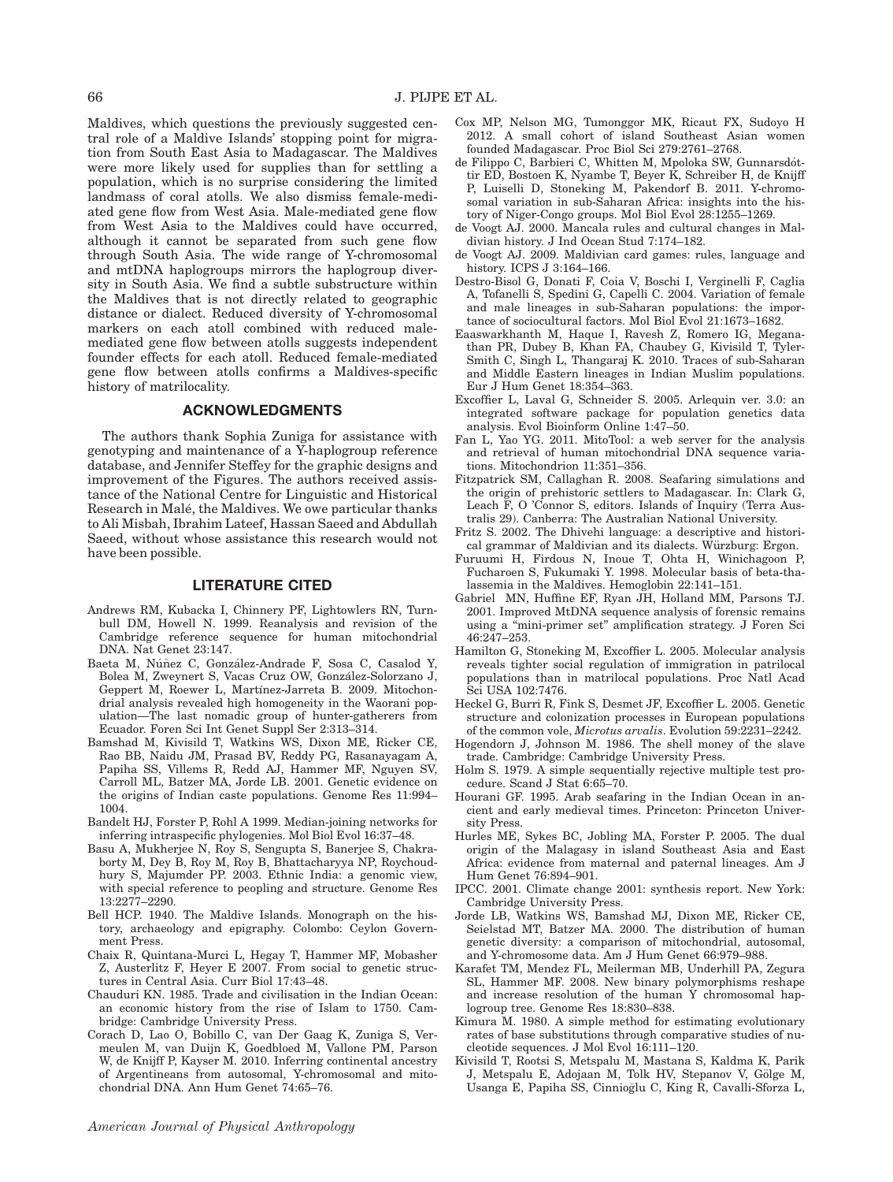Maldives, which questions the previously suggested central role of a Maldive Islands' stopping point for migration from South East Asia to Madagascar. The Maldives were more likely used for supplies than for settling a population, which is no surprise considering the limited landmass of coral atolls. We also dismiss female-mediated gene flow from West Asia. Male-mediated gene flow from West Asia to the Maldives could have occurred, although it cannot be separated from such gene flow through South Asia. The wide range of Y-chromosomal and mtDNA haplogroups mirrors the haplogroup diversity in South Asia. We find a subtle substructure within the Maldives that is not directly related to geographic distance or dialect. Reduced diversity of Y-chromosomal markers on each atoll combined with reduced malemediated gene flow between atolls suggests independent founder effects for each atoll. Reduced female-mediated gene flow between atolls confirms a Maldives-specific history of matrilocality.

# ACKNOWLEDGMENTS

The authors thank Sophia Zuniga for assistance with genotyping and maintenance of a Y-haplogroup reference database, and Jennifer Steffey for the graphic designs and improvement of the Figures. The authors received assistance of the National Centre for Linguistic and Historical Research in Malé, the Maldives. We owe particular thanks to Ali Misbah, Ibrahim Lateef, Hassan Saeed and Abdullah Saeed, without whose assistance this research would not have been possible.

#### LITERATURE CITED

- Andrews RM, Kubacka I, Chinnery PF, Lightowlers RN, Turnbull DM, Howell N. 1999. Reanalysis and revision of the Cambridge reference sequence for human mitochondrial DNA. Nat Genet 23:147.
- Baeta M, Núñez C, González-Andrade F, Sosa C, Casalod Y, Bolea M, Zweynert S, Vacas Cruz OW, Gonzalez-Solorzano J, - Geppert M, Roewer L, Martínez-Jarreta B. 2009. Mitochondrial analysis revealed high homogeneity in the Waorani population—The last nomadic group of hunter-gatherers from Ecuador. Foren Sci Int Genet Suppl Ser 2:313–314.
- Bamshad M, Kivisild T, Watkins WS, Dixon ME, Ricker CE, Rao BB, Naidu JM, Prasad BV, Reddy PG, Rasanayagam A, Papiha SS, Villems R, Redd AJ, Hammer MF, Nguyen SV, Carroll ML, Batzer MA, Jorde LB. 2001. Genetic evidence on the origins of Indian caste populations. Genome Res 11:994– 1004.
- Bandelt HJ, Forster P, Rohl A 1999. Median-joining networks for inferring intraspecific phylogenies. Mol Biol Evol 16:37–48.
- Basu A, Mukherjee N, Roy S, Sengupta S, Banerjee S, Chakraborty M, Dey B, Roy M, Roy B, Bhattacharyya NP, Roychoudhury S, Majumder PP. 2003. Ethnic India: a genomic view, with special reference to peopling and structure. Genome Res 13:2277–2290.
- Bell HCP. 1940. The Maldive Islands. Monograph on the history, archaeology and epigraphy. Colombo: Ceylon Government Press.
- Chaix R, Quintana-Murci L, Hegay T, Hammer MF, Mobasher Z, Austerlitz F, Heyer E 2007. From social to genetic structures in Central Asia. Curr Biol 17:43–48.
- Chauduri KN. 1985. Trade and civilisation in the Indian Ocean: an economic history from the rise of Islam to 1750. Cambridge: Cambridge University Press.
- Corach D, Lao O, Bobillo C, van Der Gaag K, Zuniga S, Vermeulen M, van Duijn K, Goedbloed M, Vallone PM, Parson W, de Knijff P, Kayser M. 2010. Inferring continental ancestry of Argentineans from autosomal, Y-chromosomal and mitochondrial DNA. Ann Hum Genet 74:65–76.
- Cox MP, Nelson MG, Tumonggor MK, Ricaut FX, Sudoyo H 2012. A small cohort of island Southeast Asian women founded Madagascar. Proc Biol Sci 279:2761–2768.
- de Filippo C, Barbieri C, Whitten M, Mpoloka SW, Gunnarsdóttir ED, Bostoen K, Nyambe T, Beyer K, Schreiber H, de Knijff P, Luiselli D, Stoneking M, Pakendorf B. 2011. Y-chromosomal variation in sub-Saharan Africa: insights into the history of Niger-Congo groups. Mol Biol Evol 28:1255–1269.
- de Voogt AJ. 2000. Mancala rules and cultural changes in Maldivian history. J Ind Ocean Stud 7:174–182.
- de Voogt AJ. 2009. Maldivian card games: rules, language and history. ICPS J 3:164–166.
- Destro-Bisol G, Donati F, Coia V, Boschi I, Verginelli F, Caglia A, Tofanelli S, Spedini G, Capelli C. 2004. Variation of female and male lineages in sub-Saharan populations: the importance of sociocultural factors. Mol Biol Evol 21:1673–1682.
- Eaaswarkhanth M, Haque I, Ravesh Z, Romero IG, Meganathan PR, Dubey B, Khan FA, Chaubey G, Kivisild T, Tyler-Smith C, Singh L, Thangaraj K. 2010. Traces of sub-Saharan and Middle Eastern lineages in Indian Muslim populations. Eur J Hum Genet 18:354–363.
- Excoffier L, Laval G, Schneider S. 2005. Arlequin ver. 3.0: an integrated software package for population genetics data analysis. Evol Bioinform Online 1:47–50.
- Fan L, Yao YG. 2011. MitoTool: a web server for the analysis and retrieval of human mitochondrial DNA sequence variations. Mitochondrion 11:351–356.
- Fitzpatrick SM, Callaghan R. 2008. Seafaring simulations and the origin of prehistoric settlers to Madagascar. In: Clark G, Leach F, O 'Connor S, editors. Islands of Inquiry (Terra Australis 29). Canberra: The Australian National University.
- Fritz S. 2002. The Dhivehi language: a descriptive and historical grammar of Maldivian and its dialects. Würzburg: Ergon.
- Furuumi H, Firdous N, Inoue T, Ohta H, Winichagoon P, Fucharoen S, Fukumaki Y. 1998. Molecular basis of beta-thalassemia in the Maldives. Hemoglobin 22:141–151.
- Gabriel MN, Huffine EF, Ryan JH, Holland MM, Parsons TJ. 2001. Improved MtDNA sequence analysis of forensic remains using a "mini-primer set" amplification strategy. J Foren Sci 46:247–253.
- Hamilton G, Stoneking M, Excoffier L. 2005. Molecular analysis reveals tighter social regulation of immigration in patrilocal populations than in matrilocal populations. Proc Natl Acad Sci USA 102:7476.
- Heckel G, Burri R, Fink S, Desmet JF, Excoffier L. 2005. Genetic structure and colonization processes in European populations of the common vole, Microtus arvalis. Evolution 59:2231–2242.
- Hogendorn J, Johnson M. 1986. The shell money of the slave trade. Cambridge: Cambridge University Press.
- Holm S. 1979. A simple sequentially rejective multiple test procedure. Scand J Stat 6:65–70.
- Hourani GF. 1995. Arab seafaring in the Indian Ocean in ancient and early medieval times. Princeton: Princeton University Press.
- Hurles ME, Sykes BC, Jobling MA, Forster P. 2005. The dual origin of the Malagasy in island Southeast Asia and East Africa: evidence from maternal and paternal lineages. Am J Hum Genet 76:894–901.
- IPCC. 2001. Climate change 2001: synthesis report. New York: Cambridge University Press.
- Jorde LB, Watkins WS, Bamshad MJ, Dixon ME, Ricker CE, Seielstad MT, Batzer MA. 2000. The distribution of human genetic diversity: a comparison of mitochondrial, autosomal, and Y-chromosome data. Am J Hum Genet 66:979–988.
- Karafet TM, Mendez FL, Meilerman MB, Underhill PA, Zegura SL, Hammer MF. 2008. New binary polymorphisms reshape and increase resolution of the human Y chromosomal haplogroup tree. Genome Res 18:830–838.
- Kimura M. 1980. A simple method for estimating evolutionary rates of base substitutions through comparative studies of nucleotide sequences. J Mol Evol 16:111–120.
- Kivisild T, Rootsi S, Metspalu M, Mastana S, Kaldma K, Parik J, Metspalu E, Adojaan M, Tolk HV, Stepanov V, Gölge M, Usanga E, Papiha SS, Cinnioglu C, King R, Cavalli-Sforza L,